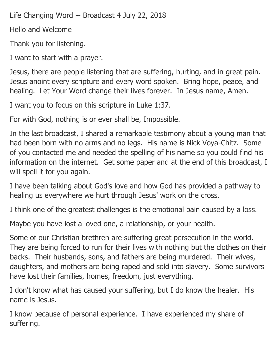Life Changing Word -- Broadcast 4 July 22, 2018

Hello and Welcome

Thank you for listening.

I want to start with a prayer.

Jesus, there are people listening that are suffering, hurting, and in great pain. Jesus anoint every scripture and every word spoken. Bring hope, peace, and healing. Let Your Word change their lives forever. In Jesus name, Amen.

I want you to focus on this scripture in Luke 1:37.

For with God, nothing is or ever shall be, Impossible.

In the last broadcast, I shared a remarkable testimony about a young man that had been born with no arms and no legs. His name is Nick Voya-Chitz. Some of you contacted me and needed the spelling of his name so you could find his information on the internet. Get some paper and at the end of this broadcast, I will spell it for you again.

I have been talking about God's love and how God has provided a pathway to healing us everywhere we hurt through Jesus' work on the cross.

I think one of the greatest challenges is the emotional pain caused by a loss.

Maybe you have lost a loved one, a relationship, or your health.

Some of our Christian brethren are suffering great persecution in the world. They are being forced to run for their lives with nothing but the clothes on their backs. Their husbands, sons, and fathers are being murdered. Their wives, daughters, and mothers are being raped and sold into slavery. Some survivors have lost their families, homes, freedom, just everything.

I don't know what has caused your suffering, but I do know the healer. His name is Jesus.

I know because of personal experience. I have experienced my share of suffering.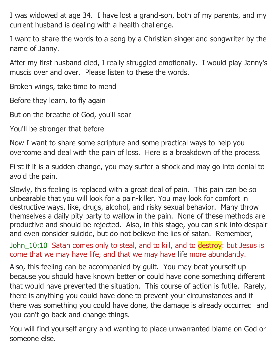I was widowed at age 34. I have lost a grand-son, both of my parents, and my current husband is dealing with a health challenge.

I want to share the words to a song by a Christian singer and songwriter by the name of Janny.

After my first husband died, I really struggled emotionally. I would play Janny's muscis over and over. Please listen to these the words.

Broken wings, take time to mend

Before they learn, to fly again

But on the breathe of God, you'll soar

You'll be stronger that before

Now I want to share some scripture and some practical ways to help you overcome and deal with the pain of loss. Here is a breakdown of the process.

First if it is a sudden change, you may suffer a shock and may go into denial to avoid the pain.

Slowly, this feeling is replaced with a great deal of pain. This pain can be so unbearable that you will look for a pain-killer. You may look for comfort in destructive ways, like, drugs, alcohol, and risky sexual behavior. Many throw themselves a daily pity party to wallow in the pain. None of these methods are productive and should be rejected. Also, in this stage, you can sink into despair and even consider suicide, but do not believe the lies of satan. Remember,

John 10:10 Satan comes only to steal, and to kill, and to destroy: but Jesus is come that we may have life, and that we may have life more abundantly.

Also, this feeling can be accompanied by guilt. You may beat yourself up because you should have known better or could have done something different that would have prevented the situation. This course of action is futile. Rarely, there is anything you could have done to prevent your circumstances and if there was something you could have done, the damage is already occurred and you can't go back and change things.

You will find yourself angry and wanting to place unwarranted blame on God or someone else.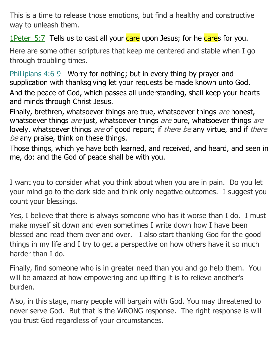This is a time to release those emotions, but find a healthy and constructive way to unleash them.

1Peter 5:7 Tells us to cast all your care upon Jesus; for he cares for you.

Here are some other scriptures that keep me centered and stable when I go through troubling times.

Phillipians 4:6-9 Worry for nothing; but in every thing by prayer and supplication with thanksgiving let your requests be made known unto God. And the peace of God, which passes all understanding, shall keep your hearts and minds through Christ Jesus.

Finally, brethren, whatsoever things are true, whatsoever things are honest, whatsoever things are just, whatsoever things are pure, whatsoever things are lovely, whatsoever things are of good report; if there be any virtue, and if there be any praise, think on these things.

Those things, which ye have both learned, and received, and heard, and seen in me, do: and the God of peace shall be with you.

I want you to consider what you think about when you are in pain. Do you let your mind go to the dark side and think only negative outcomes. I suggest you count your blessings.

Yes, I believe that there is always someone who has it worse than I do. I must make myself sit down and even sometimes I write down how I have been blessed and read them over and over. I also start thanking God for the good things in my life and I try to get a perspective on how others have it so much harder than I do.

Finally, find someone who is in greater need than you and go help them. You will be amazed at how empowering and uplifting it is to relieve another's burden.

Also, in this stage, many people will bargain with God. You may threatened to never serve God. But that is the WRONG response. The right response is will you trust God regardless of your circumstances.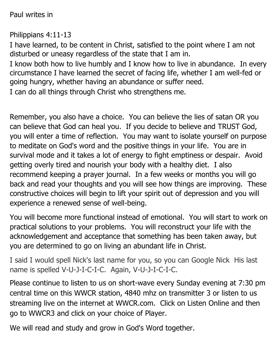Paul writes in

Philippians 4:11-13

I have learned, to be content in Christ, satisfied to the point where I am not disturbed or uneasy regardless of the state that I am in.

I know both how to live humbly and I know how to live in abundance. In every circumstance I have learned the secret of facing life, whether I am well-fed or going hungry, whether having an abundance or suffer need.

I can do all things through Christ who strengthens me.

Remember, you also have a choice. You can believe the lies of satan OR you can believe that God can heal you. If you decide to believe and TRUST God, you will enter a time of reflection. You may want to isolate yourself on purpose to meditate on God's word and the positive things in your life. You are in survival mode and it takes a lot of energy to fight emptiness or despair. Avoid getting overly tired and nourish your body with a healthy diet. I also recommend keeping a prayer journal. In a few weeks or months you will go back and read your thoughts and you will see how things are improving. These constructive choices will begin to lift your spirit out of depression and you will experience a renewed sense of well-being.

You will become more functional instead of emotional. You will start to work on practical solutions to your problems. You will reconstruct your life with the acknowledgement and acceptance that something has been taken away, but you are determined to go on living an abundant life in Christ.

I said I would spell Nick's last name for you, so you can Google Nick His last name is spelled V-U-J-I-C-I-C. Again, V-U-J-I-C-I-C.

Please continue to listen to us on short-wave every Sunday evening at 7:30 pm central time on this WWCR station, 4840 mhz on transmitter 3 or listen to us streaming live on the internet at WWCR.com. Click on Listen Online and then go to WWCR3 and click on your choice of Player.

We will read and study and grow in God's Word together.